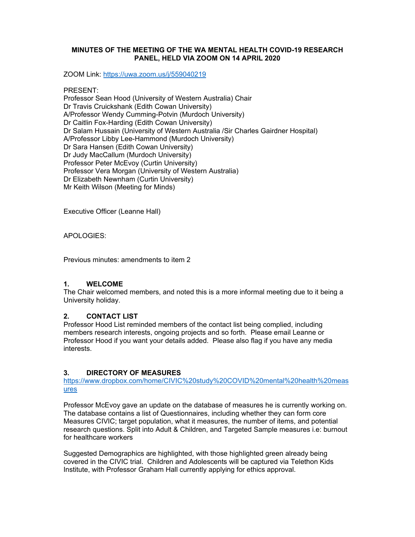## **MINUTES OF THE MEETING OF THE WA MENTAL HEALTH COVID-19 RESEARCH PANEL, HELD VIA ZOOM ON 14 APRIL 2020**

ZOOM Link: https://uwa.zoom.us/j/559040219

#### PRESENT:

Professor Sean Hood (University of Western Australia) Chair Dr Travis Cruickshank (Edith Cowan University) A/Professor Wendy Cumming-Potvin (Murdoch University) Dr Caitlin Fox-Harding (Edith Cowan University) Dr Salam Hussain (University of Western Australia /Sir Charles Gairdner Hospital) A/Professor Libby Lee-Hammond (Murdoch University) Dr Sara Hansen (Edith Cowan University) Dr Judy MacCallum (Murdoch University) Professor Peter McEvoy (Curtin University) Professor Vera Morgan (University of Western Australia) Dr Elizabeth Newnham (Curtin University) Mr Keith Wilson (Meeting for Minds)

Executive Officer (Leanne Hall)

APOLOGIES:

Previous minutes: amendments to item 2

#### **1. WELCOME**

The Chair welcomed members, and noted this is a more informal meeting due to it being a University holiday.

#### **2. CONTACT LIST**

Professor Hood List reminded members of the contact list being complied, including members research interests, ongoing projects and so forth. Please email Leanne or Professor Hood if you want your details added. Please also flag if you have any media interests.

## **3. DIRECTORY OF MEASURES**

https://www.dropbox.com/home/CIVIC%20study%20COVID%20mental%20health%20meas ures

Professor McEvoy gave an update on the database of measures he is currently working on. The database contains a list of Questionnaires, including whether they can form core Measures CIVIC; target population, what it measures, the number of items, and potential research questions. Split into Adult & Children, and Targeted Sample measures i.e: burnout for healthcare workers

Suggested Demographics are highlighted, with those highlighted green already being covered in the CIVIC trial. Children and Adolescents will be captured via Telethon Kids Institute, with Professor Graham Hall currently applying for ethics approval.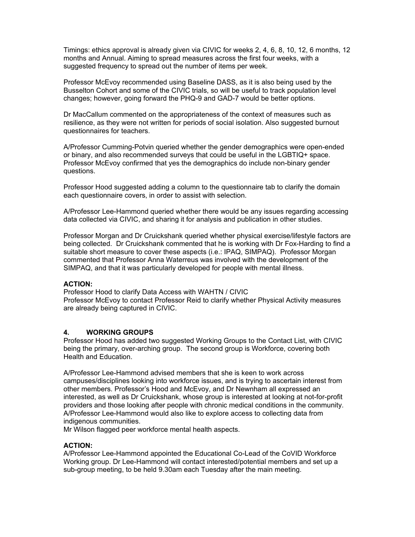Timings: ethics approval is already given via CIVIC for weeks 2, 4, 6, 8, 10, 12, 6 months, 12 months and Annual. Aiming to spread measures across the first four weeks, with a suggested frequency to spread out the number of items per week.

Professor McEvoy recommended using Baseline DASS, as it is also being used by the Busselton Cohort and some of the CIVIC trials, so will be useful to track population level changes; however, going forward the PHQ-9 and GAD-7 would be better options.

Dr MacCallum commented on the appropriateness of the context of measures such as resilience, as they were not written for periods of social isolation. Also suggested burnout questionnaires for teachers.

A/Professor Cumming-Potvin queried whether the gender demographics were open-ended or binary, and also recommended surveys that could be useful in the LGBTIQ+ space. Professor McEvoy confirmed that yes the demographics do include non-binary gender questions.

Professor Hood suggested adding a column to the questionnaire tab to clarify the domain each questionnaire covers, in order to assist with selection.

A/Professor Lee-Hammond queried whether there would be any issues regarding accessing data collected via CIVIC, and sharing it for analysis and publication in other studies.

Professor Morgan and Dr Cruickshank queried whether physical exercise/lifestyle factors are being collected. Dr Cruickshank commented that he is working with Dr Fox-Harding to find a suitable short measure to cover these aspects (i.e.: IPAQ, SIMPAQ). Professor Morgan commented that Professor Anna Waterreus was involved with the development of the SIMPAQ, and that it was particularly developed for people with mental illness.

#### **ACTION:**

Professor Hood to clarify Data Access with WAHTN / CIVIC Professor McEvoy to contact Professor Reid to clarify whether Physical Activity measures are already being captured in CIVIC.

## **4. WORKING GROUPS**

Professor Hood has added two suggested Working Groups to the Contact List, with CIVIC being the primary, over-arching group. The second group is Workforce, covering both Health and Education.

A/Professor Lee-Hammond advised members that she is keen to work across campuses/disciplines looking into workforce issues, and is trying to ascertain interest from other members. Professor's Hood and McEvoy, and Dr Newnham all expressed an interested, as well as Dr Cruickshank, whose group is interested at looking at not-for-profit providers and those looking after people with chronic medical conditions in the community. A/Professor Lee-Hammond would also like to explore access to collecting data from indigenous communities.

Mr Wilson flagged peer workforce mental health aspects.

#### **ACTION:**

A/Professor Lee-Hammond appointed the Educational Co-Lead of the CoVID Workforce Working group. Dr Lee-Hammond will contact interested/potential members and set up a sub-group meeting, to be held 9.30am each Tuesday after the main meeting.